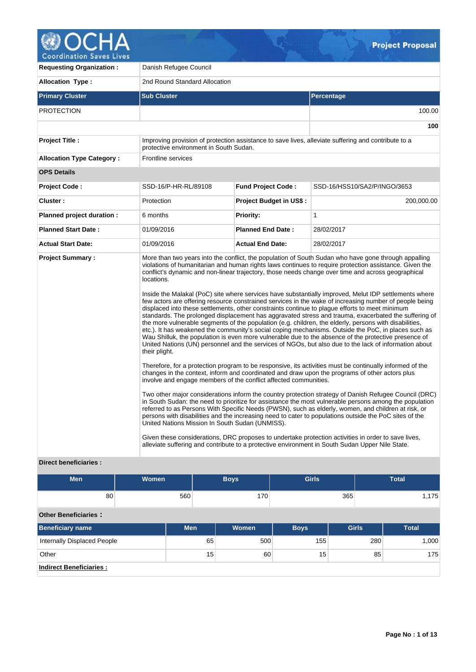

**Requesting Organization :** Danish Refugee Council **Allocation Type :** 2nd Round Standard Allocation **Primary Cluster Sub Cluster Sub Cluster** Sub Cluster Sub Cluster Sub Cluster Sub Cluster Sub Cluster Sub Cluster PROTECTION 100.00 **100 Project Title :** Improving provision of protection assistance to save lives, alleviate suffering and contribute to a protective environment in South Sudan. **Allocation Type Category :** Frontline services **OPS Details Project Code :** SSD-16/P-HR-RL/89108 **Fund Project Code :** SSD-16/HSS10/SA2/P/INGO/3653 **Cluster :** 200,000.00 **Protection Project Budget in US\$ :** 200,000.00 **200,000.00 Planned project duration :** 6 months **Priority: Priority:** 1 **Planned Start Date :** 01/09/2016 **Planned End Date :** 28/02/2017 **Actual Start Date:** 01/09/2016 **Actual End Date:** 28/02/2017 **Project Summary :** More than two years into the conflict, the population of South Sudan who have gone through appalling violations of humanitarian and human rights laws continues to require protection assistance. Given the conflict's dynamic and non-linear trajectory, those needs change over time and across geographical locations. Inside the Malakal (PoC) site where services have substantially improved, Melut IDP settlements where few actors are offering resource constrained services in the wake of increasing number of people being displaced into these settlements, other constraints continue to plague efforts to meet minimum standards. The prolonged displacement has aggravated stress and trauma, exacerbated the suffering of the more vulnerable segments of the population (e.g. children, the elderly, persons with disabilities, etc.). It has weakened the community's social coping mechanisms. Outside the PoC, in places such as Wau Shilluk, the population is even more vulnerable due to the absence of the protective presence of United Nations (UN) personnel and the services of NGOs, but also due to the lack of information about their plight. Therefore, for a protection program to be responsive, its activities must be continually informed of the changes in the context, inform and coordinated and draw upon the programs of other actors plus involve and engage members of the conflict affected communities. Two other major considerations inform the country protection strategy of Danish Refugee Council (DRC) in South Sudan: the need to prioritize for assistance the most vulnerable persons among the population referred to as Persons With Specific Needs (PWSN), such as elderly, women, and children at risk, or persons with disabilities and the increasing need to cater to populations outside the PoC sites of the United Nations Mission In South Sudan (UNMISS). Given these considerations, DRC proposes to undertake protection activities in order to save lives, alleviate suffering and contribute to a protective environment in South Sudan Upper Nile State.

# **Direct beneficiaries :**

| <b>Men</b>                     | <b>Women</b> |            |                 | <b>Boys</b>  | <b>Girls</b> |              | <b>Total</b> |  |  |
|--------------------------------|--------------|------------|-----------------|--------------|--------------|--------------|--------------|--|--|
| 80                             |              | 560        |                 | 170          |              | 365          | 1,175        |  |  |
| <b>Other Beneficiaries:</b>    |              |            |                 |              |              |              |              |  |  |
| <b>Beneficiary name</b>        |              | <b>Men</b> |                 | <b>Women</b> | <b>Boys</b>  | <b>Girls</b> | <b>Total</b> |  |  |
| Internally Displaced People    |              |            | 65              | 500          | 155          |              | 1,000<br>280 |  |  |
| Other                          |              |            | 15 <sub>1</sub> | 60           | 15           |              | 85<br>175    |  |  |
| <b>Indirect Beneficiaries:</b> |              |            |                 |              |              |              |              |  |  |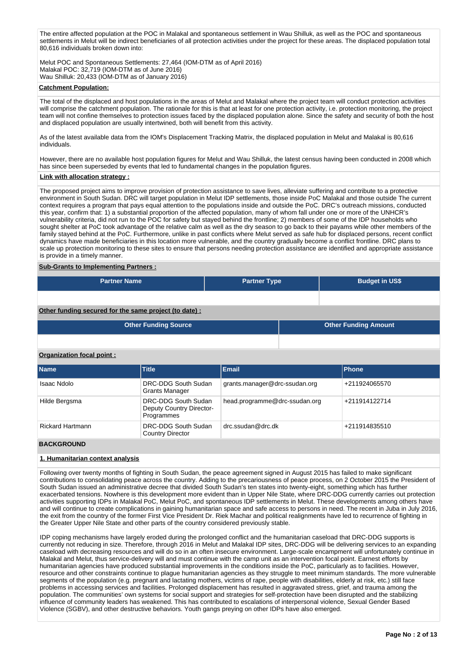The entire affected population at the POC in Malakal and spontaneous settlement in Wau Shilluk, as well as the POC and spontaneous settlements in Melut will be indirect beneficiaries of all protection activities under the project for these areas. The displaced population total 80,616 individuals broken down into:

Melut POC and Spontaneous Settlements: 27,464 (IOM-DTM as of April 2016) Malakal POC: 32,719 (IOM-DTM as of June 2016) Wau Shilluk: 20,433 (IOM-DTM as of January 2016)

# **Catchment Population:**

The total of the displaced and host populations in the areas of Melut and Malakal where the project team will conduct protection activities will comprise the catchment population. The rationale for this is that at least for one protection activity, i.e. protection monitoring, the project team will not confine themselves to protection issues faced by the displaced population alone. Since the safety and security of both the host and displaced population are usually intertwined, both will benefit from this activity.

As of the latest available data from the IOM's Displacement Tracking Matrix, the displaced population in Melut and Malakal is 80,616 individuals.

However, there are no available host population figures for Melut and Wau Shilluk, the latest census having been conducted in 2008 which has since been superseded by events that led to fundamental changes in the population figures.

# **Link with allocation strategy :**

The proposed project aims to improve provision of protection assistance to save lives, alleviate suffering and contribute to a protective environment in South Sudan. DRC will target population in Melut IDP settlements, those inside PoC Malakal and those outside The current context requires a program that pays equal attention to the populations inside and outside the PoC. DRC's outreach missions, conducted this year, confirm that: 1) a substantial proportion of the affected population, many of whom fall under one or more of the UNHCR's vulnerability criteria, did not run to the POC for safety but stayed behind the frontline; 2) members of some of the IDP households who sought shelter at PoC took advantage of the relative calm as well as the dry season to go back to their payams while other members of the family stayed behind at the PoC. Furthermore, unlike in past conflicts where Melut served as safe hub for displaced persons, recent conflict dynamics have made beneficiaries in this location more vulnerable, and the country gradually become a conflict frontline. DRC plans to scale up protection monitoring to these sites to ensure that persons needing protection assistance are identified and appropriate assistance is provide in a timely manner.

# **Sub-Grants to Implementing Partners :**

| <b>Partner Name</b> | <b>Partner Type</b> | <b>Budget in US\$</b> |
|---------------------|---------------------|-----------------------|
|                     |                     |                       |

# **Other funding secured for the same project (to date) :**

| <b>Other Funding Source</b> | <b>Other Funding Amount</b> |
|-----------------------------|-----------------------------|
|                             |                             |

# **Organization focal point :**

| <b>Name</b>             | <b>Title</b>                                                  | Email                         | <b>Phone</b>  |
|-------------------------|---------------------------------------------------------------|-------------------------------|---------------|
| Isaac Ndolo             | DRC-DDG South Sudan<br><b>Grants Manager</b>                  | grants.manager@drc-ssudan.org | +211924065570 |
| Hilde Bergsma           | DRC-DDG South Sudan<br>Deputy Country Director-<br>Programmes | head.programme@drc-ssudan.org | +211914122714 |
| <b>Rickard Hartmann</b> | DRC-DDG South Sudan<br><b>Country Director</b>                | drc.ssudan@drc.dk             | +211914835510 |

#### **BACKGROUND**

# **1. Humanitarian context analysis**

Following over twenty months of fighting in South Sudan, the peace agreement signed in August 2015 has failed to make significant contributions to consolidating peace across the country. Adding to the precariousness of peace process, on 2 October 2015 the President of South Sudan issued an administrative decree that divided South Sudan's ten states into twenty-eight, something which has further exacerbated tensions. Nowhere is this development more evident than in Upper Nile State, where DRC-DDG currently carries out protection activities supporting IDPs in Malakal PoC, Melut PoC, and spontaneous IDP settlements in Melut. These developments among others have and will continue to create complications in gaining humanitarian space and safe access to persons in need. The recent in Juba in July 2016, the exit from the country of the former First Vice President Dr. Riek Machar and political realignments have led to recurrence of fighting in the Greater Upper Nile State and other parts of the country considered previously stable.

IDP coping mechanisms have largely eroded during the prolonged conflict and the humanitarian caseload that DRC-DDG supports is currently not reducing in size. Therefore, through 2016 in Melut and Malakal IDP sites, DRC-DDG will be delivering services to an expanding caseload with decreasing resources and will do so in an often insecure environment. Large-scale encampment will unfortunately continue in Malakal and Melut, thus service-delivery will and must continue with the camp unit as an intervention focal point. Earnest efforts by humanitarian agencies have produced substantial improvements in the conditions inside the PoC, particularly as to facilities. However, resource and other constraints continue to plague humanitarian agencies as they struggle to meet minimum standards. The more vulnerable segments of the population (e.g. pregnant and lactating mothers, victims of rape, people with disabilities, elderly at risk, etc.) still face problems in accessing services and facilities. Prolonged displacement has resulted in aggravated stress, grief, and trauma among the population. The communities' own systems for social support and strategies for self-protection have been disrupted and the stabilizing influence of community leaders has weakened. This has contributed to escalations of interpersonal violence, Sexual Gender Based Violence (SGBV), and other destructive behaviors. Youth gangs preying on other IDPs have also emerged.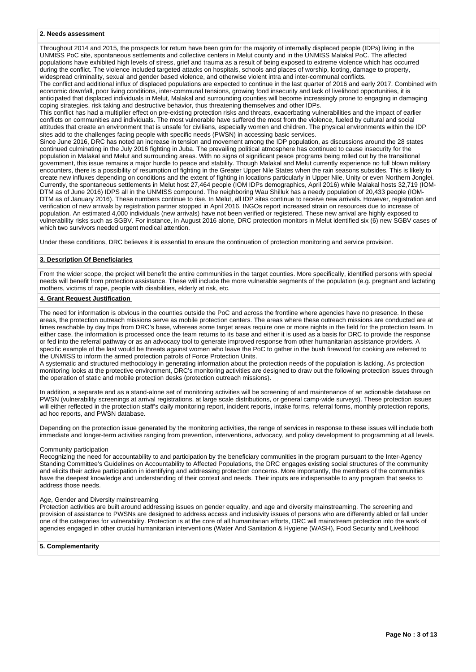# **2. Needs assessment**

Throughout 2014 and 2015, the prospects for return have been grim for the majority of internally displaced people (IDPs) living in the UNMISS PoC site, spontaneous settlements and collective centers in Melut county and in the UNMISS Malakal PoC. The affected populations have exhibited high levels of stress, grief and trauma as a result of being exposed to extreme violence which has occurred during the conflict. The violence included targeted attacks on hospitals, schools and places of worship, looting, damage to property, widespread criminality, sexual and gender based violence, and otherwise violent intra and inter-communal conflicts.

The conflict and additional influx of displaced populations are expected to continue in the last quarter of 2016 and early 2017. Combined with economic downfall, poor living conditions, inter-communal tensions, growing food insecurity and lack of livelihood opportunities, it is anticipated that displaced individuals in Melut, Malakal and surrounding counties will become increasingly prone to engaging in damaging coping strategies, risk taking and destructive behavior, thus threatening themselves and other IDPs.

This conflict has had a multiplier effect on pre-existing protection risks and threats, exacerbating vulnerabilities and the impact of earlier conflicts on communities and individuals. The most vulnerable have suffered the most from the violence, fueled by cultural and social attitudes that create an environment that is unsafe for civilians, especially women and children. The physical environments within the IDP sites add to the challenges facing people with specific needs (PWSN) in accessing basic services.

Since June 2016, DRC has noted an increase in tension and movement among the IDP population, as discussions around the 28 states continued culminating in the July 2016 fighting in Juba. The prevailing political atmosphere has continued to cause insecurity for the population in Malakal and Melut and surrounding areas. With no signs of significant peace programs being rolled out by the transitional government, this issue remains a major hurdle to peace and stability. Though Malakal and Melut currently experience no full blown military encounters, there is a possibility of resumption of fighting in the Greater Upper Nile States when the rain seasons subsides. This is likely to create new influxes depending on conditions and the extent of fighting in locations particularly in Upper Nile, Unity or even Northern Jonglei. Currently, the spontaneous settlements in Melut host 27,464 people (IOM IDPs demographics, April 2016) while Malakal hosts 32,719 (IOM-DTM as of June 2016) IDPS all in the UNMISS compound. The neighboring Wau Shilluk has a needy population of 20,433 people (IOM-DTM as of January 2016). These numbers continue to rise. In Melut, all IDP sites continue to receive new arrivals. However, registration and verification of new arrivals by registration partner stopped in April 2016. INGOs report increased strain on resources due to increase of population. An estimated 4,000 individuals (new arrivals) have not been verified or registered. These new arrival are highly exposed to vulnerability risks such as SGBV. For instance, in August 2016 alone, DRC protection monitors in Melut identified six (6) new SGBV cases of which two survivors needed urgent medical attention.

Under these conditions, DRC believes it is essential to ensure the continuation of protection monitoring and service provision.

# **3. Description Of Beneficiaries**

From the wider scope, the project will benefit the entire communities in the target counties. More specifically, identified persons with special needs will benefit from protection assistance. These will include the more vulnerable segments of the population (e.g. pregnant and lactating mothers, victims of rape, people with disabilities, elderly at risk, etc.

# **4. Grant Request Justification**

The need for information is obvious in the counties outside the PoC and across the frontline where agencies have no presence. In these areas, the protection outreach missions serve as mobile protection centers. The areas where these outreach missions are conducted are at times reachable by day trips from DRC's base, whereas some target areas require one or more nights in the field for the protection team. In either case, the information is processed once the team returns to its base and either it is used as a basis for DRC to provide the response or fed into the referral pathway or as an advocacy tool to generate improved response from other humanitarian assistance providers. A specific example of the last would be threats against women who leave the PoC to gather in the bush firewood for cooking are referred to the UNMISS to inform the armed protection patrols of Force Protection Units.

A systematic and structured methodology in generating information about the protection needs of the population is lacking. As protection monitoring looks at the protective environment, DRC's monitoring activities are designed to draw out the following protection issues through the operation of static and mobile protection desks (protection outreach missions).

In addition, a separate and as a stand-alone set of monitoring activities will be screening of and maintenance of an actionable database on PWSN (vulnerability screenings at arrival registrations, at large scale distributions, or general camp-wide surveys). These protection issues will either reflected in the protection staff's daily monitoring report, incident reports, intake forms, referral forms, monthly protection reports, ad hoc reports, and PWSN database.

Depending on the protection issue generated by the monitoring activities, the range of services in response to these issues will include both immediate and longer-term activities ranging from prevention, interventions, advocacy, and policy development to programming at all levels.

## Community participation

Recognizing the need for accountability to and participation by the beneficiary communities in the program pursuant to the Inter-Agency Standing Committee's Guidelines on Accountability to Affected Populations, the DRC engages existing social structures of the community and elicits their active participation in identifying and addressing protection concerns. More importantly, the members of the communities have the deepest knowledge and understanding of their context and needs. Their inputs are indispensable to any program that seeks to address those needs.

#### Age, Gender and Diversity mainstreaming

Protection activities are built around addressing issues on gender equality, and age and diversity mainstreaming. The screening and provision of assistance to PWSNs are designed to address access and inclusivity issues of persons who are differently abled or fall under one of the categories for vulnerability. Protection is at the core of all humanitarian efforts, DRC will mainstream protection into the work of agencies engaged in other crucial humanitarian interventions (Water And Sanitation & Hygiene (WASH), Food Security and Livelihood

**5. Complementarity**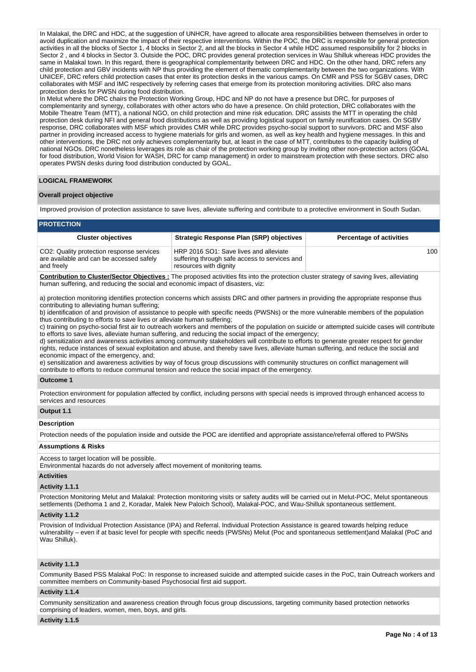In Malakal, the DRC and HDC, at the suggestion of UNHCR, have agreed to allocate area responsibilities between themselves in order to avoid duplication and maximize the impact of their respective interventions. Within the POC, the DRC is responsible for general protection activities in all the blocks of Sector 1, 4 blocks in Sector 2, and all the blocks in Sector 4 while HDC assumed responsibility for 2 blocks in Sector 2 , and 4 blocks in Sector 3. Outside the POC, DRC provides general protection services in Wau Shilluk whereas HDC provides the same in Malakal town. In this regard, there is geographical complementarity between DRC and HDC. On the other hand, DRC refers any child protection and GBV incidents with NP thus providing the element of thematic complementarity between the two organizations. With UNICEF, DRC refers child protection cases that enter its protection desks in the various camps. On CMR and PSS for SGBV cases, DRC collaborates with MSF and IMC respectively by referring cases that emerge from its protection monitoring activities. DRC also mans protection desks for PWSN during food distribution.

In Melut where the DRC chairs the Protection Working Group, HDC and NP do not have a presence but DRC, for purposes of complementarity and synergy, collaborates with other actors who do have a presence. On child protection, DRC collaborates with the Mobile Theatre Team (MTT), a national NGO, on child protection and mine risk education. DRC assists the MTT in operating the child protection desk during NFI and general food distributions as well as providing logistical support on family reunification cases. On SGBV response, DRC collaborates with MSF which provides CMR while DRC provides psycho-social support to survivors. DRC and MSF also partner in providing increased access to hygiene materials for girls and women, as well as key health and hygiene messages. In this and other interventions, the DRC not only achieves complementarity but, at least in the case of MTT, contributes to the capacity building of national NGOs. DRC nonetheless leverages its role as chair of the protection working group by inviting other non-protection actors (GOAL for food distribution, World Vision for WASH, DRC for camp management) in order to mainstream protection with these sectors. DRC also operates PWSN desks during food distribution conducted by GOAL.

#### **LOGICAL FRAMEWORK**

# **Overall project objective**

Improved provision of protection assistance to save lives, alleviate suffering and contribute to a protective environment in South Sudan.

| <b>Cluster objectives</b>                                                                           | Strategic Response Plan (SRP) objectives                                                                          | <b>Percentage of activities</b> |
|-----------------------------------------------------------------------------------------------------|-------------------------------------------------------------------------------------------------------------------|---------------------------------|
| CO2: Quality protection response services<br>are available and can be accessed safely<br>and freely | HRP 2016 SO1: Save lives and alleviate<br>suffering through safe access to services and<br>resources with dignity | 100                             |

**Contribution to Cluster/Sector Objectives :** The proposed activities fits into the protection cluster strategy of saving lives, alleviating human suffering, and reducing the social and economic impact of disasters, viz:

a) protection monitoring identifies protection concerns which assists DRC and other partners in providing the appropriate response thus contributing to alleviating human suffering;

b) identification of and provision of assistance to people with specific needs (PWSNs) or the more vulnerable members of the population thus contributing to efforts to save lives or alleviate human suffering;

c) training on psycho-social first air to outreach workers and members of the population on suicide or attempted suicide cases will contribute to efforts to save lives, alleviate human suffering, and reducing the social impact of the emergency;

d) sensitization and awareness activities among community stakeholders will contribute to efforts to generate greater respect for gender rights, reduce instances of sexual exploitation and abuse, and thereby save lives, alleviate human suffering, and reduce the social and economic impact of the emergency, and;

e) sensitization and awareness activities by way of focus group discussions with community structures on conflict management will contribute to efforts to reduce communal tension and reduce the social impact of the emergency.

#### **Outcome 1**

Protection environment for population affected by conflict, including persons with special needs is improved through enhanced access to services and resources

#### **Output 1.1**

# **Description**

Protection needs of the population inside and outside the POC are identified and appropriate assistance/referral offered to PWSNs

# **Assumptions & Risks**

Access to target location will be possible.

Environmental hazards do not adversely affect movement of monitoring teams.

# **Activities**

# **Activity 1.1.1**

Protection Monitoring Melut and Malakal: Protection monitoring visits or safety audits will be carried out in Melut-POC, Melut spontaneous settlements (Dethoma 1 and 2, Koradar, Malek New Paloich School), Malakal-POC, and Wau-Shilluk spontaneous settlement.

#### **Activity 1.1.2**

Provision of Individual Protection Assistance (IPA) and Referral. Individual Protection Assistance is geared towards helping reduce vulnerability – even if at basic level for people with specific needs (PWSNs) Melut (Poc and spontaneous settlement)and Malakal (PoC and Wau Shilluk).

# **Activity 1.1.3**

Community Based PSS Malakal PoC: In response to increased suicide and attempted suicide cases in the PoC, train Outreach workers and committee members on Community-based Psychosocial first aid support.

#### **Activity 1.1.4**

Community sensitization and awareness creation through focus group discussions, targeting community based protection networks comprising of leaders, women, men, boys, and girls.

## **Activity 1.1.5**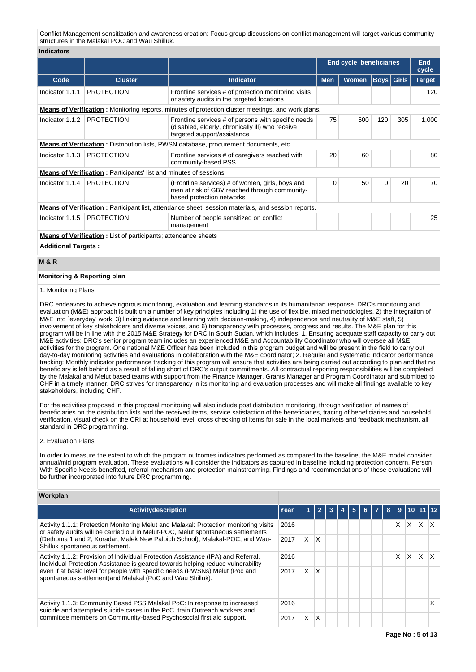Conflict Management sensitization and awareness creation: Focus group discussions on conflict management will target various community structures in the Malakal POC and Wau Shilluk.

#### **Indicators**

|                                                                                              |                                                                                                            |                                                                                                                                        | <b>End cycle beneficiaries</b> |                                   |          |     | <b>End</b><br>cycle |  |  |
|----------------------------------------------------------------------------------------------|------------------------------------------------------------------------------------------------------------|----------------------------------------------------------------------------------------------------------------------------------------|--------------------------------|-----------------------------------|----------|-----|---------------------|--|--|
| Code                                                                                         | <b>Cluster</b>                                                                                             | <b>Indicator</b>                                                                                                                       | <b>Men</b>                     | <b>Boys</b> Girls<br><b>Women</b> |          |     | <b>Target</b>       |  |  |
| Indicator 1.1.1                                                                              | <b>PROTECTION</b>                                                                                          | Frontline services # of protection monitoring visits<br>or safety audits in the targeted locations                                     |                                |                                   |          |     | 120                 |  |  |
|                                                                                              |                                                                                                            | <b>Means of Verification:</b> Monitoring reports, minutes of protection cluster meetings, and work plans.                              |                                |                                   |          |     |                     |  |  |
| Indicator 1.1.2                                                                              | <b>PROTECTION</b>                                                                                          | Frontline services # of persons with specific needs<br>(disabled, elderly, chronically ill) who receive<br>targeted support/assistance | 75                             | 500                               | 120      | 305 | 1,000               |  |  |
| <b>Means of Verification:</b> Distribution lists, PWSN database, procurement documents, etc. |                                                                                                            |                                                                                                                                        |                                |                                   |          |     |                     |  |  |
| Indicator 1.1.3                                                                              | <b>PROTECTION</b>                                                                                          | Frontline services # of caregivers reached with<br>community-based PSS                                                                 |                                | 60                                |          |     | 80                  |  |  |
|                                                                                              | <b>Means of Verification:</b> Participants' list and minutes of sessions.                                  |                                                                                                                                        |                                |                                   |          |     |                     |  |  |
| Indicator 1.1.4                                                                              | <b>PROTECTION</b>                                                                                          | (Frontline services) # of women, girls, boys and<br>men at risk of GBV reached through community-<br>based protection networks         |                                | 50                                | $\Omega$ | 20  | 70                  |  |  |
|                                                                                              | <b>Means of Verification</b> : Participant list, attendance sheet, session materials, and session reports. |                                                                                                                                        |                                |                                   |          |     |                     |  |  |
| Indicator 1.1.5                                                                              | <b>PROTECTION</b>                                                                                          | Number of people sensitized on conflict<br>management                                                                                  |                                |                                   |          | 25  |                     |  |  |
|                                                                                              | <b>Means of Verification</b> : List of participants; attendance sheets                                     |                                                                                                                                        |                                |                                   |          |     |                     |  |  |
|                                                                                              | <b>Additional Targets:</b>                                                                                 |                                                                                                                                        |                                |                                   |          |     |                     |  |  |

# **M & R**

# **Monitoring & Reporting plan**

#### 1. Monitoring Plans

DRC endeavors to achieve rigorous monitoring, evaluation and learning standards in its humanitarian response. DRC's monitoring and evaluation (M&E) approach is built on a number of key principles including 1) the use of flexible, mixed methodologies, 2) the integration of M&E into `everyday' work, 3) linking evidence and learning with decision-making, 4) independence and neutrality of M&E staff, 5) involvement of key stakeholders and diverse voices, and 6) transparency with processes, progress and results. The M&E plan for this program will be in line with the 2015 M&E Strategy for DRC in South Sudan, which includes: 1. Ensuring adequate staff capacity to carry out M&E activities: DRC's senior program team includes an experienced M&E and Accountability Coordinator who will oversee all M&E activities for the program. One national M&E Officer has been included in this program budget and will be present in the field to carry out day-to-day monitoring activities and evaluations in collaboration with the M&E coordinator; 2. Regular and systematic indicator performance tracking: Monthly indicator performance tracking of this program will ensure that activities are being carried out according to plan and that no beneficiary is left behind as a result of falling short of DRC's output commitments. All contractual reporting responsibilities will be completed by the Malakal and Melut based teams with support from the Finance Manager, Grants Manager and Program Coordinator and submitted to CHF in a timely manner. DRC strives for transparency in its monitoring and evaluation processes and will make all findings available to key stakeholders, including CHF.

For the activities proposed in this proposal monitoring will also include post distribution monitoring, through verification of names of beneficiaries on the distribution lists and the received items, service satisfaction of the beneficiaries, tracing of beneficiaries and household verification, visual check on the CRI at household level, cross checking of items for sale in the local markets and feedback mechanism, all standard in DRC programming.

# 2. Evaluation Plans

In order to measure the extent to which the program outcomes indicators performed as compared to the baseline, the M&E model consider annual/mid program evaluation. These evaluations will consider the indicators as captured in baseline including protection concern, Person With Specific Needs benefited, referral mechanism and protection mainstreaming. Findings and recommendations of these evaluations will be further incorporated into future DRC programming.

# **Workplan**

| Activitydescription                                                                                                                                                                                                                                                                                                  | Year |    | 2  | 3 | 5 | 6. | $\overline{7}$ | 8 | 9 | 10 <sup>1</sup> |    |   |
|----------------------------------------------------------------------------------------------------------------------------------------------------------------------------------------------------------------------------------------------------------------------------------------------------------------------|------|----|----|---|---|----|----------------|---|---|-----------------|----|---|
| Activity 1.1.1: Protection Monitoring Melut and Malakal: Protection monitoring visits<br>2016<br>or safety audits will be carried out in Melut-POC, Melut spontaneous settlements<br>(Dethoma 1 and 2, Koradar, Malek New Paloich School), Malakal-POC, and Wau-<br>2017<br>Shilluk spontaneous settlement.          |      |    |    |   |   |    |                |   | X | X               | X. | X |
|                                                                                                                                                                                                                                                                                                                      |      | X  | ΙX |   |   |    |                |   |   |                 |    |   |
| Activity 1.1.2: Provision of Individual Protection Assistance (IPA) and Referral.<br>Individual Protection Assistance is geared towards helping reduce vulnerability -<br>even if at basic level for people with specific needs (PWSNs) Melut (Poc and<br>spontaneous settlement) and Malakal (PoC and Wau Shilluk). | 2016 |    |    |   |   |    |                |   | x | X               | X  |   |
|                                                                                                                                                                                                                                                                                                                      | 2017 | X. | X  |   |   |    |                |   |   |                 |    |   |
| Activity 1.1.3: Community Based PSS Malakal PoC: In response to increased<br>suicide and attempted suicide cases in the PoC, train Outreach workers and                                                                                                                                                              |      |    |    |   |   |    |                |   |   |                 |    |   |
| committee members on Community-based Psychosocial first aid support.                                                                                                                                                                                                                                                 | 2017 | X  | X  |   |   |    |                |   |   |                 |    |   |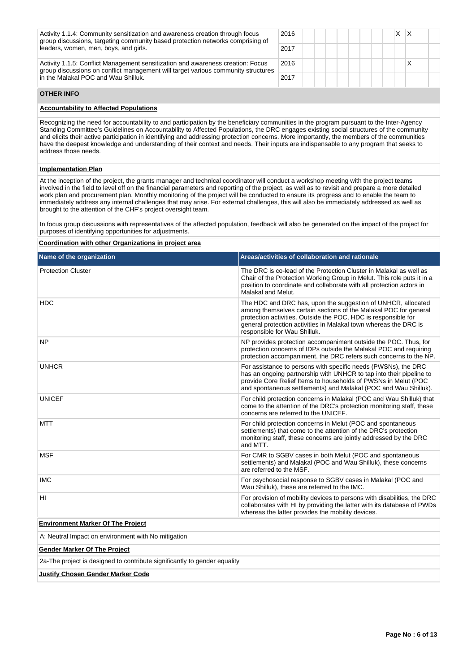| Activity 1.1.4: Community sensitization and awareness creation through focus<br>group discussions, targeting community based protection networks comprising of<br>leaders, women, men, boys, and girls. | 2016 | X. |  |
|---------------------------------------------------------------------------------------------------------------------------------------------------------------------------------------------------------|------|----|--|
|                                                                                                                                                                                                         | 2017 |    |  |
| Activity 1.1.5: Conflict Management sensitization and awareness creation: Focus<br>group discussions on conflict management will target various community structures                                    | 2016 |    |  |
| in the Malakal POC and Wau Shilluk.                                                                                                                                                                     | 2017 |    |  |

# **OTHER INFO**

# **Accountability to Affected Populations**

Recognizing the need for accountability to and participation by the beneficiary communities in the program pursuant to the Inter-Agency Standing Committee's Guidelines on Accountability to Affected Populations, the DRC engages existing social structures of the community and elicits their active participation in identifying and addressing protection concerns. More importantly, the members of the communities have the deepest knowledge and understanding of their context and needs. Their inputs are indispensable to any program that seeks to address those needs.

# **Implementation Plan**

At the inception of the project, the grants manager and technical coordinator will conduct a workshop meeting with the project teams involved in the field to level off on the financial parameters and reporting of the project, as well as to revisit and prepare a more detailed work plan and procurement plan. Monthly monitoring of the project will be conducted to ensure its progress and to enable the team to immediately address any internal challenges that may arise. For external challenges, this will also be immediately addressed as well as brought to the attention of the CHF's project oversight team.

In focus group discussions with representatives of the affected population, feedback will also be generated on the impact of the project for purposes of identifying opportunities for adjustments.

#### **Coordination with other Organizations in project area**

| Name of the organization                                                  | Areas/activities of collaboration and rationale                                                                                                                                                                                                                                                        |  |  |  |  |  |
|---------------------------------------------------------------------------|--------------------------------------------------------------------------------------------------------------------------------------------------------------------------------------------------------------------------------------------------------------------------------------------------------|--|--|--|--|--|
| <b>Protection Cluster</b>                                                 | The DRC is co-lead of the Protection Cluster in Malakal as well as<br>Chair of the Protection Working Group in Melut. This role puts it in a<br>position to coordinate and collaborate with all protection actors in<br>Malakal and Melut.                                                             |  |  |  |  |  |
| <b>HDC</b>                                                                | The HDC and DRC has, upon the suggestion of UNHCR, allocated<br>among themselves certain sections of the Malakal POC for general<br>protection activities. Outside the POC, HDC is responsible for<br>general protection activities in Malakal town whereas the DRC is<br>responsible for Wau Shilluk. |  |  |  |  |  |
| <b>NP</b>                                                                 | NP provides protection accompaniment outside the POC. Thus, for<br>protection concerns of IDPs outside the Malakal POC and requiring<br>protection accompaniment, the DRC refers such concerns to the NP.                                                                                              |  |  |  |  |  |
| <b>UNHCR</b>                                                              | For assistance to persons with specific needs (PWSNs), the DRC<br>has an ongoing partnership with UNHCR to tap into their pipeline to<br>provide Core Relief Items to households of PWSNs in Melut (POC<br>and spontaneous settlements) and Malakal (POC and Wau Shilluk).                             |  |  |  |  |  |
| <b>UNICEF</b>                                                             | For child protection concerns in Malakal (POC and Wau Shilluk) that<br>come to the attention of the DRC's protection monitoring staff, these<br>concerns are referred to the UNICEF.                                                                                                                   |  |  |  |  |  |
| <b>MTT</b>                                                                | For child protection concerns in Melut (POC and spontaneous<br>settlements) that come to the attention of the DRC's protection<br>monitoring staff, these concerns are jointly addressed by the DRC<br>and MTT.                                                                                        |  |  |  |  |  |
| <b>MSF</b>                                                                | For CMR to SGBV cases in both Melut (POC and spontaneous<br>settlements) and Malakal (POC and Wau Shilluk), these concerns<br>are referred to the MSF.                                                                                                                                                 |  |  |  |  |  |
| <b>IMC</b>                                                                | For psychosocial response to SGBV cases in Malakal (POC and<br>Wau Shilluk), these are referred to the IMC.                                                                                                                                                                                            |  |  |  |  |  |
| HI                                                                        | For provision of mobility devices to persons with disabilities, the DRC<br>collaborates with HI by providing the latter with its database of PWDs<br>whereas the latter provides the mobility devices.                                                                                                 |  |  |  |  |  |
| <b>Environment Marker Of The Project</b>                                  |                                                                                                                                                                                                                                                                                                        |  |  |  |  |  |
| A: Neutral Impact on environment with No mitigation                       |                                                                                                                                                                                                                                                                                                        |  |  |  |  |  |
| <b>Gender Marker Of The Project</b>                                       |                                                                                                                                                                                                                                                                                                        |  |  |  |  |  |
| 2a-The project is designed to contribute significantly to gender equality |                                                                                                                                                                                                                                                                                                        |  |  |  |  |  |

# **Justify Chosen Gender Marker Code**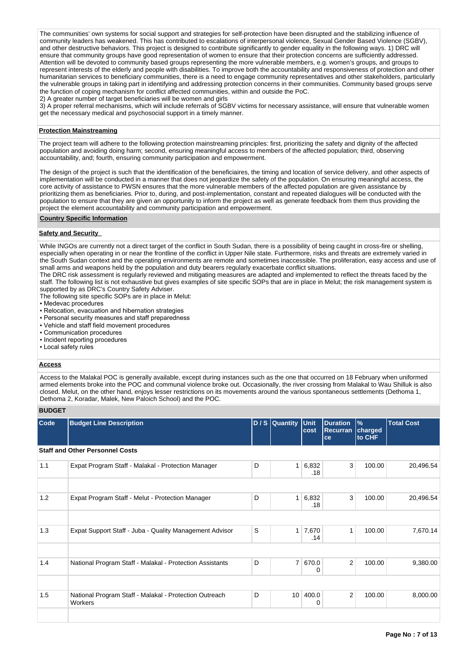The communities' own systems for social support and strategies for self-protection have been disrupted and the stabilizing influence of community leaders has weakened. This has contributed to escalations of interpersonal violence, Sexual Gender Based Violence (SGBV), and other destructive behaviors. This project is designed to contribute significantly to gender equality in the following ways. 1) DRC will ensure that community groups have good representation of women to ensure that their protection concerns are sufficiently addressed. Attention will be devoted to community based groups representing the more vulnerable members, e.g. women's groups, and groups to represent interests of the elderly and people with disabilities. To improve both the accountability and responsiveness of protection and other humanitarian services to beneficiary communities, there is a need to engage community representatives and other stakeholders, particularly the vulnerable groups in taking part in identifying and addressing protection concerns in their communities. Community based groups serve the function of coping mechanism for conflict affected communities, within and outside the PoC.

2) A greater number of target beneficiaries will be women and girls

3) A proper referral mechanisms, which will include referrals of SGBV victims for necessary assistance, will ensure that vulnerable women get the necessary medical and psychosocial support in a timely manner.

# **Protection Mainstreaming**

The project team will adhere to the following protection mainstreaming principles: first, prioritizing the safety and dignity of the affected population and avoiding doing harm; second, ensuring meaningful access to members of the affected population; third, observing accountability, and; fourth, ensuring community participation and empowerment.

The design of the project is such that the identification of the beneficiaires, the timing and location of service delivery, and other aspects of implementation will be conducted in a manner that does not jeopardize the safety of the population. On ensuring meaningful access, the core activity of assistance to PWSN ensures that the more vulnerable members of the affected population are given assistance by prioritizing them as beneficiaries. Prior to, during, and post-implementation, constant and repeated dialogues will be conducted with the population to ensure that they are given an opportunity to inform the project as well as generate feedback from them thus providing the project the element accountability and community participation and empowerment.

# **Country Specific Information**

# **Safety and Security**

While INGOs are currently not a direct target of the conflict in South Sudan, there is a possibility of being caught in cross-fire or shelling, especially when operating in or near the frontline of the conflict in Upper Nile state. Furthermore, risks and threats are extremely varied in the South Sudan context and the operating environments are remote and sometimes inaccessible. The proliferation, easy access and use of small arms and weapons held by the population and duty bearers regularly exacerbate conflict situations.

The DRC risk assessment is regularly reviewed and mitigating measures are adapted and implemented to reflect the threats faced by the staff. The following list is not exhaustive but gives examples of site specific SOPs that are in place in Melut; the risk management system is supported by as DRC's Country Safety Adviser.

The following site specific SOPs are in place in Melut:

- Medevac procedures
- Relocation, evacuation and hibernation strategies
- Personal security measures and staff preparedness
- Vehicle and staff field movement procedures
- Communication procedures
- Incident reporting procedures
- Local safety rules

# **Access**

Access to the Malakal POC is generally available, except during instances such as the one that occurred on 18 February when uniformed armed elements broke into the POC and communal violence broke out. Occasionally, the river crossing from Malakal to Wau Shilluk is also closed. Melut, on the other hand, enjoys lesser restrictions on its movements around the various spontaneous settlements (Dethoma 1, Dethoma 2, Koradar, Malek, New Paloich School) and the POC.

# **BUDGET**

| Code | <b>Budget Line Description</b>                                           |   | D / S Quantity Unit | cost                  | <b>Duration</b><br><b>Recurran</b><br>ce | $\frac{9}{6}$<br>charged<br>to CHF | <b>Total Cost</b> |
|------|--------------------------------------------------------------------------|---|---------------------|-----------------------|------------------------------------------|------------------------------------|-------------------|
|      | <b>Staff and Other Personnel Costs</b>                                   |   |                     |                       |                                          |                                    |                   |
| 1.1  | Expat Program Staff - Malakal - Protection Manager                       | D | 1 <sup>1</sup>      | 6,832<br>.18          | 3                                        | 100.00                             | 20,496.54         |
|      |                                                                          |   |                     |                       |                                          |                                    |                   |
| 1.2  | Expat Program Staff - Melut - Protection Manager                         | D | 1 <sup>1</sup>      | 6,832<br>.18          | 3                                        | 100.00                             | 20,496.54         |
|      |                                                                          |   |                     |                       |                                          |                                    |                   |
| 1.3  | Expat Support Staff - Juba - Quality Management Advisor                  | S |                     | $1 \mid 7,670$<br>.14 | 1                                        | 100.00                             | 7,670.14          |
|      |                                                                          |   |                     |                       |                                          |                                    |                   |
| 1.4  | National Program Staff - Malakal - Protection Assistants                 | D | 7 <sup>1</sup>      | 670.0<br>0            | $\overline{2}$                           | 100.00                             | 9,380.00          |
|      |                                                                          |   |                     |                       |                                          |                                    |                   |
| 1.5  | National Program Staff - Malakal - Protection Outreach<br><b>Workers</b> | D | 10 <sup>1</sup>     | 400.0<br>0            | $\overline{2}$                           | 100.00                             | 8,000.00          |
|      |                                                                          |   |                     |                       |                                          |                                    |                   |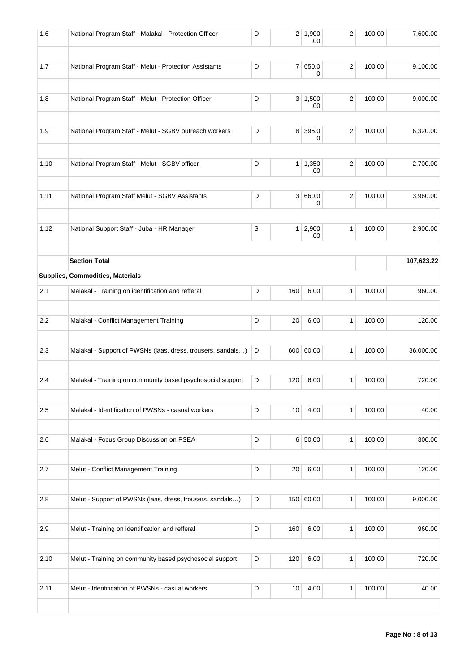| 1.6  | National Program Staff - Malakal - Protection Officer       | D           |                | 2 1,900<br>.00        | 2                | 100.00 | 7,600.00   |
|------|-------------------------------------------------------------|-------------|----------------|-----------------------|------------------|--------|------------|
| 1.7  | National Program Staff - Melut - Protection Assistants      | D           |                | 7 650.0<br>0          | $\overline{c}$   | 100.00 | 9,100.00   |
| 1.8  | National Program Staff - Melut - Protection Officer         | D           |                | $3 \mid 1,500$<br>.00 | $\boldsymbol{2}$ | 100.00 | 9,000.00   |
| 1.9  | National Program Staff - Melut - SGBV outreach workers      | D           |                | 8 395.0<br>0          | 2                | 100.00 | 6,320.00   |
| 1.10 | National Program Staff - Melut - SGBV officer               | D           | 1 <sup>1</sup> | 1,350<br>.00          | 2                | 100.00 | 2,700.00   |
| 1.11 | National Program Staff Melut - SGBV Assistants              | D           |                | 3 660.0<br>0          | 2                | 100.00 | 3,960.00   |
| 1.12 | National Support Staff - Juba - HR Manager                  | $\mathbb S$ |                | $1 \mid 2,900$<br>.00 | 1                | 100.00 | 2,900.00   |
|      | <b>Section Total</b>                                        |             |                |                       |                  |        | 107,623.22 |
|      | Supplies, Commodities, Materials                            |             |                |                       |                  |        |            |
| 2.1  | Malakal - Training on identification and refferal           | D           | 160            | 6.00                  | 1                | 100.00 | 960.00     |
| 2.2  | Malakal - Conflict Management Training                      | D           | 20             | 6.00                  | 1                | 100.00 | 120.00     |
| 2.3  | Malakal - Support of PWSNs (laas, dress, trousers, sandals) | D           |                | 600 60.00             | 1                | 100.00 | 36,000.00  |
| 2.4  | Malakal - Training on community based psychosocial support  | D           | 120            | 6.00                  | 1                | 100.00 | 720.00     |
| 2.5  | Malakal - Identification of PWSNs - casual workers          | D           | 10             | 4.00                  | 1                | 100.00 | 40.00      |
| 2.6  | Malakal - Focus Group Discussion on PSEA                    | D           |                | 6 50.00               | 1                | 100.00 | 300.00     |
| 2.7  | Melut - Conflict Management Training                        | D           | 20             | 6.00                  | 1                | 100.00 | 120.00     |
| 2.8  | Melut - Support of PWSNs (laas, dress, trousers, sandals)   | D           |                | 150 60.00             | 1                | 100.00 | 9,000.00   |
| 2.9  | Melut - Training on identification and refferal             | D           | 160            | 6.00                  | 1                | 100.00 | 960.00     |
| 2.10 | Melut - Training on community based psychosocial support    | D           | 120            | 6.00                  | 1                | 100.00 | 720.00     |
| 2.11 | Melut - Identification of PWSNs - casual workers            | D           | 10             | 4.00                  | 1                | 100.00 | 40.00      |
|      |                                                             |             |                |                       |                  |        |            |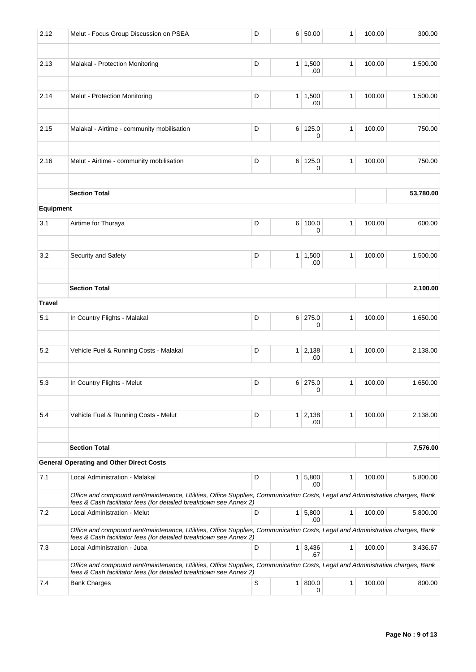| 2.12          | Melut - Focus Group Discussion on PSEA                                                                                                                                                             | D | 6 <sup>1</sup> | 50.00        | 1            | 100.00 | 300.00    |
|---------------|----------------------------------------------------------------------------------------------------------------------------------------------------------------------------------------------------|---|----------------|--------------|--------------|--------|-----------|
| 2.13          | Malakal - Protection Monitoring                                                                                                                                                                    | D | 1              | 1,500<br>.00 | $\mathbf{1}$ | 100.00 | 1,500.00  |
| 2.14          | Melut - Protection Monitoring                                                                                                                                                                      | D | $\mathbf{1}$   | 1,500<br>.00 | 1            | 100.00 | 1,500.00  |
| 2.15          | Malakal - Airtime - community mobilisation                                                                                                                                                         | D | 6 <sup>1</sup> | 125.0<br>0   | $\mathbf{1}$ | 100.00 | 750.00    |
| 2.16          | Melut - Airtime - community mobilisation                                                                                                                                                           | D |                | 6 125.0<br>0 | 1            | 100.00 | 750.00    |
|               | <b>Section Total</b>                                                                                                                                                                               |   |                |              |              |        | 53,780.00 |
| Equipment     |                                                                                                                                                                                                    |   |                |              |              |        |           |
| 3.1           | Airtime for Thuraya                                                                                                                                                                                | D | 6              | 100.0<br>0   | $\mathbf{1}$ | 100.00 | 600.00    |
| 3.2           | Security and Safety                                                                                                                                                                                | D | 1 <sup>1</sup> | 1,500<br>.00 | 1            | 100.00 | 1,500.00  |
|               | <b>Section Total</b>                                                                                                                                                                               |   |                |              |              |        | 2,100.00  |
| <b>Travel</b> |                                                                                                                                                                                                    |   |                |              |              |        |           |
| 5.1           | In Country Flights - Malakal                                                                                                                                                                       | D | 6 <sup>1</sup> | 275.0<br>0   | $\mathbf{1}$ | 100.00 | 1,650.00  |
| 5.2           | Vehicle Fuel & Running Costs - Malakal                                                                                                                                                             | D | $\mathbf{1}$   | 2,138<br>.00 | 1            | 100.00 | 2,138.00  |
| 5.3           | In Country Flights - Melut                                                                                                                                                                         | D |                | 6 275.0<br>0 | 1            | 100.00 | 1,650.00  |
| 5.4           | Vehicle Fuel & Running Costs - Melut                                                                                                                                                               | D | 1              | 2,138<br>.00 | 1            | 100.00 | 2,138.00  |
|               | <b>Section Total</b>                                                                                                                                                                               |   |                |              |              |        | 7,576.00  |
|               | <b>General Operating and Other Direct Costs</b>                                                                                                                                                    |   |                |              |              |        |           |
| 7.1           | Local Administration - Malakal                                                                                                                                                                     | D | 1              | 5,800<br>.00 | 1            | 100.00 | 5,800.00  |
|               | Office and compound rent/maintenance, Utilities, Office Supplies, Communication Costs, Legal and Administrative charges, Bank<br>fees & Cash facilitator fees (for detailed breakdown see Annex 2) |   |                |              |              |        |           |
| 7.2           | Local Administration - Melut                                                                                                                                                                       | D | 1 <sup>1</sup> | 5,800<br>.00 | $\mathbf{1}$ | 100.00 | 5,800.00  |
|               | Office and compound rent/maintenance, Utilities, Office Supplies, Communication Costs, Legal and Administrative charges, Bank<br>fees & Cash facilitator fees (for detailed breakdown see Annex 2) |   |                |              |              |        |           |
| 7.3           | Local Administration - Juba                                                                                                                                                                        | D | $\mathbf{1}$   | 3,436<br>.67 | 1            | 100.00 | 3,436.67  |
|               | Office and compound rent/maintenance, Utilities, Office Supplies, Communication Costs, Legal and Administrative charges, Bank<br>fees & Cash facilitator fees (for detailed breakdown see Annex 2) |   |                |              |              |        |           |
| 7.4           | <b>Bank Charges</b>                                                                                                                                                                                | S | $\mathbf{1}$   | 800.0<br>0   | 1            | 100.00 | 800.00    |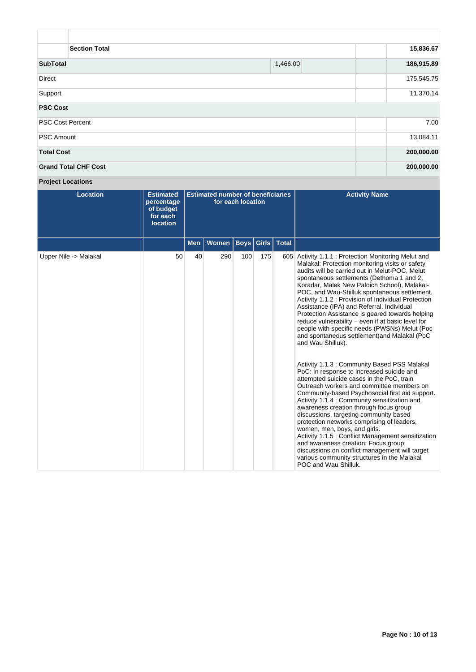| <b>Section Total</b>        | 15,836.67  |            |
|-----------------------------|------------|------------|
| <b>SubTotal</b>             | 1,466.00   | 186,915.89 |
| <b>Direct</b>               |            | 175,545.75 |
| Support                     | 11,370.14  |            |
| <b>PSC Cost</b>             |            |            |
| <b>PSC Cost Percent</b>     | 7.00       |            |
| <b>PSC Amount</b>           | 13,084.11  |            |
| <b>Total Cost</b>           | 200,000.00 |            |
| <b>Grand Total CHF Cost</b> | 200,000.00 |            |

**Project Locations**

| <b>Location</b>       | <b>Estimated</b><br>percentage<br>of budget<br>for each<br><b>location</b> | <b>Estimated number of beneficiaries</b><br>for each location |       |             |       |       | <b>Activity Name</b>                                                                                                                                                                                                                                                                                                                                                                                                                                                                                                                                                                                                                                                                                                                                                                                                                                                                                                                                                                                                                                                                                                                                                                                                                                                                                                  |
|-----------------------|----------------------------------------------------------------------------|---------------------------------------------------------------|-------|-------------|-------|-------|-----------------------------------------------------------------------------------------------------------------------------------------------------------------------------------------------------------------------------------------------------------------------------------------------------------------------------------------------------------------------------------------------------------------------------------------------------------------------------------------------------------------------------------------------------------------------------------------------------------------------------------------------------------------------------------------------------------------------------------------------------------------------------------------------------------------------------------------------------------------------------------------------------------------------------------------------------------------------------------------------------------------------------------------------------------------------------------------------------------------------------------------------------------------------------------------------------------------------------------------------------------------------------------------------------------------------|
|                       |                                                                            | <b>Men</b>                                                    | Women | <b>Boys</b> | Girls | Total |                                                                                                                                                                                                                                                                                                                                                                                                                                                                                                                                                                                                                                                                                                                                                                                                                                                                                                                                                                                                                                                                                                                                                                                                                                                                                                                       |
| Upper Nile -> Malakal | 50                                                                         | 40                                                            | 290   | 100         | 175   | 605   | Activity 1.1.1: Protection Monitoring Melut and<br>Malakal: Protection monitoring visits or safety<br>audits will be carried out in Melut-POC, Melut<br>spontaneous settlements (Dethoma 1 and 2,<br>Koradar, Malek New Paloich School), Malakal-<br>POC, and Wau-Shilluk spontaneous settlement.<br>Activity 1.1.2 : Provision of Individual Protection<br>Assistance (IPA) and Referral. Individual<br>Protection Assistance is geared towards helping<br>reduce vulnerability - even if at basic level for<br>people with specific needs (PWSNs) Melut (Poc<br>and spontaneous settlement) and Malakal (PoC<br>and Wau Shilluk).<br>Activity 1.1.3 : Community Based PSS Malakal<br>PoC: In response to increased suicide and<br>attempted suicide cases in the PoC, train<br>Outreach workers and committee members on<br>Community-based Psychosocial first aid support.<br>Activity 1.1.4 : Community sensitization and<br>awareness creation through focus group<br>discussions, targeting community based<br>protection networks comprising of leaders,<br>women, men, boys, and girls.<br>Activity 1.1.5 : Conflict Management sensitization<br>and awareness creation: Focus group<br>discussions on conflict management will target<br>various community structures in the Malakal<br>POC and Wau Shilluk. |